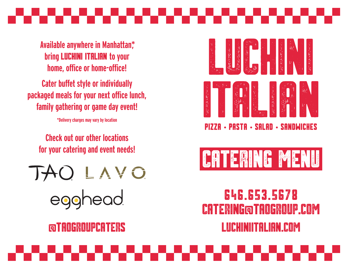

**Available anywhere in Manhattan\*, bring LUCHINI ITALIAN to your home, office or home-office!**

**Cater buffet style or individually packaged meals for your next office lunch, family gathering or game day event!**

**\*Delivery charges may vary by location**

**Check out our other locations for your catering and event needs!**

TAO LAVO **read** 







### 646.653.5678 **ERING@TAOGROUP.COM** LUCHINIITALIAN.com